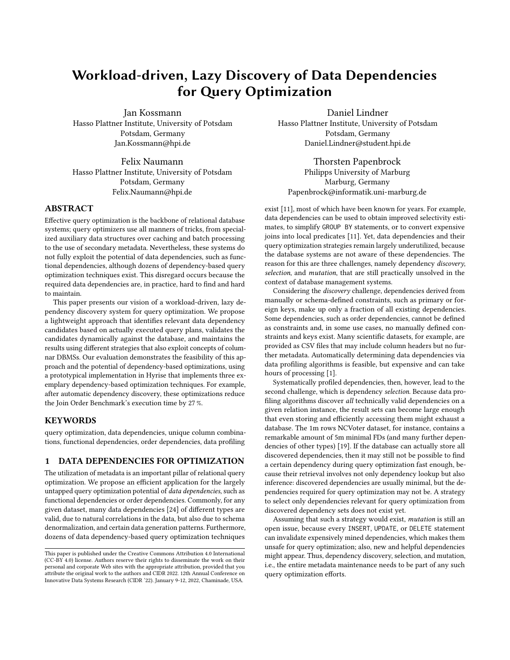# Workload-driven, Lazy Discovery of Data Dependencies for Query Optimization

Jan Kossmann Hasso Plattner Institute, University of Potsdam Potsdam, Germany Jan.Kossmann@hpi.de

Felix Naumann Hasso Plattner Institute, University of Potsdam Potsdam, Germany Felix.Naumann@hpi.de

## ABSTRACT

Effective query optimization is the backbone of relational database systems; query optimizers use all manners of tricks, from specialized auxiliary data structures over caching and batch processing to the use of secondary metadata. Nevertheless, these systems do not fully exploit the potential of data dependencies, such as functional dependencies, although dozens of dependency-based query optimization techniques exist. This disregard occurs because the required data dependencies are, in practice, hard to find and hard to maintain.

This paper presents our vision of a workload-driven, lazy dependency discovery system for query optimization. We propose a lightweight approach that identifies relevant data dependency candidates based on actually executed query plans, validates the candidates dynamically against the database, and maintains the results using different strategies that also exploit concepts of columnar DBMSs. Our evaluation demonstrates the feasibility of this approach and the potential of dependency-based optimizations, using a prototypical implementation in Hyrise that implements three exemplary dependency-based optimization techniques. For example, after automatic dependency discovery, these optimizations reduce the Join Order Benchmark's execution time by 27 %.

## **KEYWORDS**

query optimization, data dependencies, unique column combinations, functional dependencies, order dependencies, data profiling

# <span id="page-0-0"></span>1 DATA DEPENDENCIES FOR OPTIMIZATION

The utilization of metadata is an important pillar of relational query optimization. We propose an efficient application for the largely untapped query optimization potential of data dependencies, such as functional dependencies or order dependencies. Commonly, for any given dataset, many data dependencies [\[24\]](#page-6-0) of different types are valid, due to natural correlations in the data, but also due to schema denormalization, and certain data generation patterns. Furthermore, dozens of data dependency-based query optimization techniques

Daniel Lindner Hasso Plattner Institute, University of Potsdam Potsdam, Germany Daniel.Lindner@student.hpi.de

Thorsten Papenbrock Philipps University of Marburg Marburg, Germany Papenbrock@informatik.uni-marburg.de

exist [\[11\]](#page-6-1), most of which have been known for years. For example, data dependencies can be used to obtain improved selectivity estimates, to simplify GROUP BY statements, or to convert expensive joins into local predicates [\[11\]](#page-6-1). Yet, data dependencies and their query optimization strategies remain largely underutilized, because the database systems are not aware of these dependencies. The reason for this are three challenges, namely dependency discovery, selection, and mutation, that are still practically unsolved in the context of database management systems.

Considering the discovery challenge, dependencies derived from manually or schema-defined constraints, such as primary or foreign keys, make up only a fraction of all existing dependencies. Some dependencies, such as order dependencies, cannot be defined as constraints and, in some use cases, no manually defined constraints and keys exist. Many scientific datasets, for example, are provided as CSV files that may include column headers but no further metadata. Automatically determining data dependencies via data profiling algorithms is feasible, but expensive and can take hours of processing [\[1\]](#page-5-0).

Systematically profiled dependencies, then, however, lead to the second challenge, which is dependency selection. Because data profiling algorithms discover all technically valid dependencies on a given relation instance, the result sets can become large enough that even storing and efficiently accessing them might exhaust a database. The 1m rows NCVoter dataset, for instance, contains a remarkable amount of 5m minimal FDs (and many further dependencies of other types) [\[19\]](#page-6-2). If the database can actually store all discovered dependencies, then it may still not be possible to find a certain dependency during query optimization fast enough, because their retrieval involves not only dependency lookup but also inference: discovered dependencies are usually minimal, but the dependencies required for query optimization may not be. A strategy to select only dependencies relevant for query optimization from discovered dependency sets does not exist yet.

Assuming that such a strategy would exist, mutation is still an open issue, because every INSERT, UPDATE, or DELETE statement can invalidate expensively mined dependencies, which makes them unsafe for query optimization; also, new and helpful dependencies might appear. Thus, dependency discovery, selection, and mutation, i.e., the entire metadata maintenance needs to be part of any such query optimization efforts.

This paper is published under the Creative Commons Attribution 4.0 International (CC-BY 4.0) license. Authors reserve their rights to disseminate the work on their personal and corporate Web sites with the appropriate attribution, provided that you attribute the original work to the authors and CIDR 2022. 12th Annual Conference on Innovative Data Systems Research (CIDR '22). January 9-12, 2022, Chaminade, USA.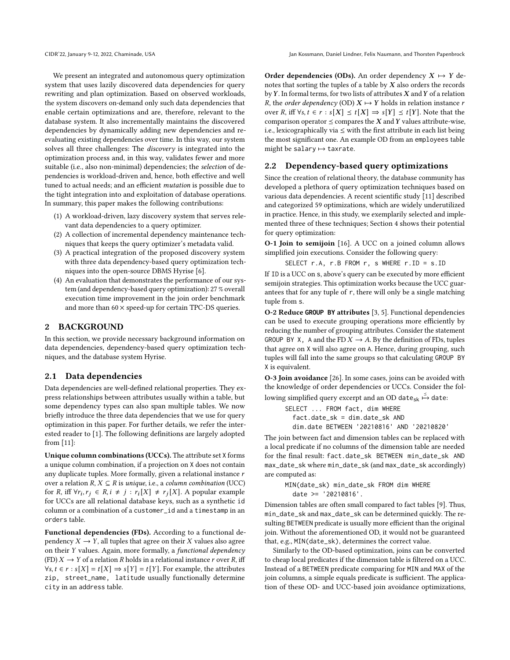We present an integrated and autonomous query optimization system that uses lazily discovered data dependencies for query rewriting and plan optimization. Based on observed workloads, the system discovers on-demand only such data dependencies that enable certain optimizations and are, therefore, relevant to the database system. It also incrementally maintains the discovered dependencies by dynamically adding new dependencies and reevaluating existing dependencies over time. In this way, our system solves all three challenges: The discovery is integrated into the optimization process and, in this way, validates fewer and more suitable (i.e., also non-minimal) dependencies; the selection of dependencies is workload-driven and, hence, both effective and well tuned to actual needs; and an efficient mutation is possible due to the tight integration into and exploitation of database operations. In summary, this paper makes the following contributions:

- (1) A workload-driven, lazy discovery system that serves relevant data dependencies to a query optimizer.
- (2) A collection of incremental dependency maintenance techniques that keeps the query optimizer's metadata valid.
- (3) A practical integration of the proposed discovery system with three data dependency-based query optimization techniques into the open-source DBMS Hyrise [\[6\]](#page-5-1).
- (4) An evaluation that demonstrates the performance of our system (and dependency-based query optimization): 27 % overall execution time improvement in the join order benchmark and more than  $60 \times$  speed-up for certain TPC-DS queries.

# 2 BACKGROUND

In this section, we provide necessary background information on data dependencies, dependency-based query optimization techniques, and the database system Hyrise.

# 2.1 Data dependencies

Data dependencies are well-defined relational properties. They express relationships between attributes usually within a table, but some dependency types can also span multiple tables. We now briefly introduce the three data dependencies that we use for query optimization in this paper. For further details, we refer the interested reader to [\[1\]](#page-5-0). The following definitions are largely adopted from [\[11\]](#page-6-1):

Unique column combinations (UCCs). The attribute set X forms a unique column combination, if a projection on X does not contain any duplicate tuples. More formally, given a relational instance  $r$ over a relation  $R, X \subseteq R$  is unique, i.e., a column combination (UCC) for R, iff  $\forall r_i, r_j \in R, i \neq j : r_i[X] \neq r_j[X]$ . A popular example for UCCs are all relational database keys, such as a synthetic id column or a combination of a customer\_id and a timestamp in an orders table.

Functional dependencies (FDs). According to a functional dependency  $X \to Y$ , all tuples that agree on their X values also agree on their Y values. Again, more formally, a functional dependency (FD)  $X \to Y$  of a relation R holds in a relational instance r over R, iff  $\forall s, t \in r : s[X] = t[X] \Rightarrow s[Y] = t[Y]$ . For example, the attributes zip, street\_name, latitude usually functionally determine city in an address table.

Order dependencies (ODs). An order dependency  $X \mapsto Y$  denotes that sorting the tuples of a table by  $X$  also orders the records by  $Y$ . In formal terms, for two lists of attributes  $X$  and  $Y$  of a relation R, the *order dependency* (OD)  $X \mapsto Y$  holds in relation instance r over R, iff  $\forall s, t \in r : s[X] \le t[X] \Rightarrow s[Y] \le t[Y]$ . Note that the comparison operator  $\leq$  compares the X and Y values attribute-wise, i.e., lexicographically via  $\leq$  with the first attribute in each list being the most significant one. An example OD from an employees table might be salary  $\mapsto$  taxrate.

## <span id="page-1-0"></span>2.2 Dependency-based query optimizations

Since the creation of relational theory, the database community has developed a plethora of query optimization techniques based on various data dependencies. A recent scientific study [\[11\]](#page-6-1) described and categorized 59 optimizations, which are widely underutilized in practice. Hence, in this study, we exemplarily selected and implemented three of these techniques; Section [4](#page-4-0) shows their potential for query optimization:

O-1 Join to semijoin [\[16\]](#page-6-3). A UCC on a joined column allows simplified join executions. Consider the following query:

SELECT r.A, r.B FROM r, s WHERE r.ID = s.ID

If ID is a UCC on s, above's query can be executed by more efficient semijoin strategies. This optimization works because the UCC guarantees that for any tuple of r, there will only be a single matching tuple from s.

O-2 Reduce **GROUP BY** attributes [\[3,](#page-5-2) [5\]](#page-5-3). Functional dependencies can be used to execute grouping operations more efficiently by reducing the number of grouping attributes. Consider the statement GROUP BY X, A and the FD  $X \rightarrow A$ . By the definition of FDs, tuples that agree on X will also agree on A. Hence, during grouping, such tuples will fall into the same groups so that calculating GROUP BY X is equivalent.

O-3 Join avoidance [\[26\]](#page-6-4). In some cases, joins can be avoided with the knowledge of order dependencies or UCCs. Consider the following simplified query excerpt and an OD date<sub>sk</sub>  $\stackrel{\preceq}{\mapsto}$  date:

SELECT ... FROM fact, dim WHERE fact.date\_sk = dim.date\_sk AND dim.date BETWEEN '20210816' AND '20210820'

The join between fact and dimension tables can be replaced with a local predicate if no columns of the dimension table are needed for the final result: fact.date\_sk BETWEEN min\_date\_sk AND max\_date\_sk where min\_date\_sk (and max\_date\_sk accordingly) are computed as:

```
MIN(date_sk) min_date_sk FROM dim WHERE
date >= '20210816'.
```
Dimension tables are often small compared to fact tables [\[9\]](#page-6-5). Thus, min\_date\_sk and max\_date\_sk can be determined quickly. The resulting BETWEEN predicate is usually more efficient than the original join. Without the aforementioned OD, it would not be guaranteed that, e.g., MIN(date\_sk), determines the correct value.

Similarly to the OD-based optimization, joins can be converted to cheap local predicates if the dimension table is filtered on a UCC. Instead of a BETWEEN predicate comparing for MIN and MAX of the join columns, a simple equals predicate is sufficient. The application of these OD- and UCC-based join avoidance optimizations,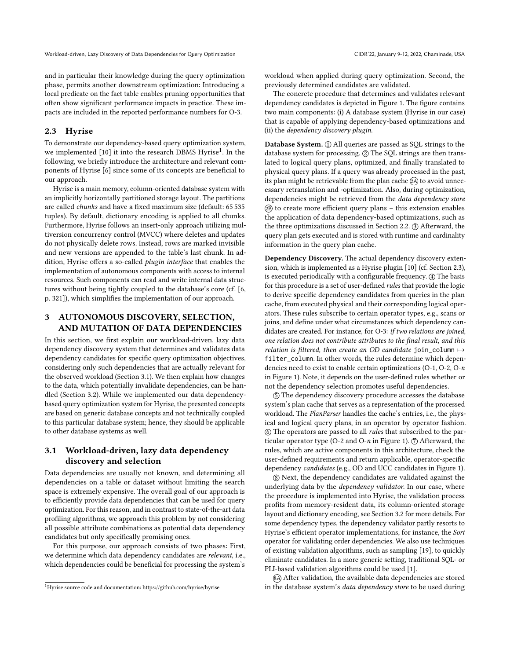and in particular their knowledge during the query optimization phase, permits another downstream optimization: Introducing a local predicate on the fact table enables pruning opportunities that often show significant performance impacts in practice. These impacts are included in the reported performance numbers for O-3.

#### <span id="page-2-2"></span>2.3 Hyrise

To demonstrate our dependency-based query optimization system, we implemented [\[10\]](#page-6-6) it into the research DBMS Hyrise<sup>[1](#page-2-0)</sup>. In the following, we briefly introduce the architecture and relevant components of Hyrise [\[6\]](#page-5-1) since some of its concepts are beneficial to our approach.

Hyrise is a main memory, column-oriented database system with an implicitly horizontally partitioned storage layout. The partitions are called chunks and have a fixed maximum size (default: 65 535 tuples). By default, dictionary encoding is applied to all chunks. Furthermore, Hyrise follows an insert-only approach utilizing multiversion concurrency control (MVCC) where deletes and updates do not physically delete rows. Instead, rows are marked invisible and new versions are appended to the table's last chunk. In addition, Hyrise offers a so-called plugin interface that enables the implementation of autonomous components with access to internal resources. Such components can read and write internal data structures without being tightly coupled to the database's core (cf. [\[6,](#page-5-1) p. 321]), which simplifies the implementation of our approach.

# 3 AUTONOMOUS DISCOVERY, SELECTION, AND MUTATION OF DATA DEPENDENCIES

In this section, we first explain our workload-driven, lazy data dependency discovery system that determines and validates data dependency candidates for specific query optimization objectives, considering only such dependencies that are actually relevant for the observed workload (Section [3.1\)](#page-2-1). We then explain how changes to the data, which potentially invalidate dependencies, can be handled (Section [3.2\)](#page-3-0). While we implemented our data dependencybased query optimization system for Hyrise, the presented concepts are based on generic database concepts and not technically coupled to this particular database system; hence, they should be applicable to other database systems as well.

# <span id="page-2-1"></span>3.1 Workload-driven, lazy data dependency discovery and selection

Data dependencies are usually not known, and determining all dependencies on a table or dataset without limiting the search space is extremely expensive. The overall goal of our approach is to efficiently provide data dependencies that can be used for query optimization. For this reason, and in contrast to state-of-the-art data profiling algorithms, we approach this problem by not considering all possible attribute combinations as potential data dependency candidates but only specifically promising ones.

For this purpose, our approach consists of two phases: First, we determine which data dependency candidates are relevant, i.e., which dependencies could be beneficial for processing the system's

workload when applied during query optimization. Second, the previously determined candidates are validated.

The concrete procedure that determines and validates relevant dependency candidates is depicted in Figure [1.](#page-3-1) The figure contains two main components: (i) A database system (Hyrise in our case) that is capable of applying dependency-based optimizations and (ii) the dependency discovery plugin.

Database System. 1 All queries are passed as SQL strings to the database system for processing. 2 The SQL strings are then translated to logical query plans, optimized, and finally translated to physical query plans. If a query was already processed in the past, its plan might be retrievable from the plan cache  $(2)$  to avoid unnecessary retranslation and -optimization. Also, during optimization, dependencies might be retrieved from the data dependency store 2B to create more efficient query plans – this extension enables the application of data dependency-based optimizations, such as the three optimizations discussed in Section [2.2.](#page-1-0) (3) Afterward, the query plan gets executed and is stored with runtime and cardinality information in the query plan cache.

Dependency Discovery. The actual dependency discovery extension, which is implemented as a Hyrise plugin [\[10\]](#page-6-6) (cf. Section [2.3\)](#page-2-2), is executed periodically with a configurable frequency. 4 The basis for this procedure is a set of user-defined rules that provide the logic to derive specific dependency candidates from queries in the plan cache, from executed physical and their corresponding logical operators. These rules subscribe to certain operator types, e.g., scans or joins, and define under what circumstances which dependency candidates are created. For instance, for O-3: if two relations are joined, one relation does not contribute attributes to the final result, and this relation is filtered, then create an OD candidate join\_column  $\mapsto$ filter\_column. In other words, the rules determine which dependencies need to exist to enable certain optimizations (O-1, O-2, O-n in Figure [1\)](#page-3-1). Note, it depends on the user-defined rules whether or not the dependency selection promotes useful dependencies.

5 The dependency discovery procedure accesses the database system's plan cache that serves as a representation of the processed workload. The PlanParser handles the cache's entries, i.e., the physical and logical query plans, in an operator by operator fashion. 6 The operators are passed to all rules that subscribed to the par-ticular operator type (O-2 and O-n in Figure [1\)](#page-3-1).  $\mathcal{D}$  Afterward, the rules, which are active components in this architecture, check the user-defined requirements and return applicable, operator-specific dependency candidates (e.g., OD and UCC candidates in Figure [1\)](#page-3-1).

8 Next, the dependency candidates are validated against the underlying data by the dependency validator. In our case, where the procedure is implemented into Hyrise, the validation process profits from memory-resident data, its column-oriented storage layout and dictionary encoding, see Section [3.2](#page-3-0) for more details. For some dependency types, the dependency validator partly resorts to Hyrise's efficient operator implementations, for instance, the Sort operator for validating order dependencies. We also use techniques of existing validation algorithms, such as sampling [\[19\]](#page-6-2), to quickly eliminate candidates. In a more generic setting, traditional SQL- or PLI-based validation algorithms could be used [\[1\]](#page-5-0).

8A After validation, the available data dependencies are stored in the database system's data dependency store to be used during

<span id="page-2-0"></span><sup>1</sup>Hyrise source code and documentation:<https://github.com/hyrise/hyrise>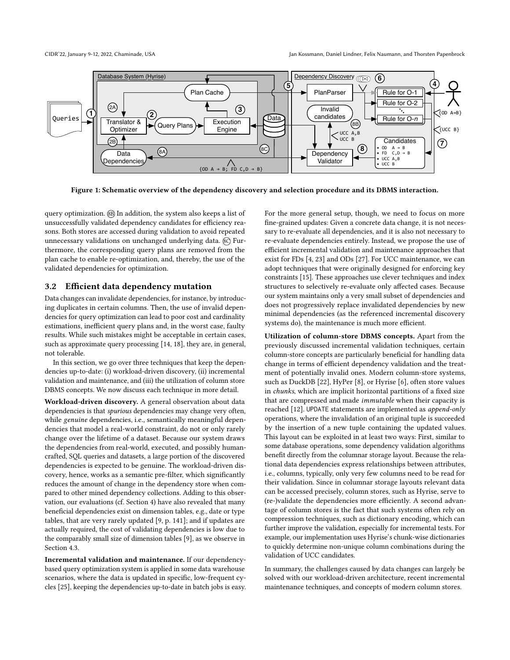<span id="page-3-1"></span>

Figure 1: Schematic overview of the dependency discovery and selection procedure and its DBMS interaction.

query optimization. 8B In addition, the system also keeps a list of unsuccessfully validated dependency candidates for efficiency reasons. Both stores are accessed during validation to avoid repeated unnecessary validations on unchanged underlying data.  $\circledR$  Furthermore, the corresponding query plans are removed from the plan cache to enable re-optimization, and, thereby, the use of the validated dependencies for optimization.

#### <span id="page-3-0"></span>3.2 Efficient data dependency mutation

Data changes can invalidate dependencies, for instance, by introducing duplicates in certain columns. Then, the use of invalid dependencies for query optimization can lead to poor cost and cardinality estimations, inefficient query plans and, in the worst case, faulty results. While such mistakes might be acceptable in certain cases, such as approximate query processing [\[14,](#page-6-7) [18\]](#page-6-8), they are, in general, not tolerable.

In this section, we go over three techniques that keep the dependencies up-to-date: (i) workload-driven discovery, (ii) incremental validation and maintenance, and (iii) the utilization of column store DBMS concepts. We now discuss each technique in more detail.

Workload-driven discovery. A general observation about data dependencies is that spurious dependencies may change very often, while genuine dependencies, i.e., semantically meaningful dependencies that model a real-world constraint, do not or only rarely change over the lifetime of a dataset. Because our system draws the dependencies from real-world, executed, and possibly humancrafted, SQL queries and datasets, a large portion of the discovered dependencies is expected to be genuine. The workload-driven discovery, hence, works as a semantic pre-filter, which significantly reduces the amount of change in the dependency store when compared to other mined dependency collections. Adding to this observation, our evaluations (cf. Section [4\)](#page-4-0) have also revealed that many beneficial dependencies exist on dimension tables, e.g., date or type tables, that are very rarely updated [\[9,](#page-6-5) p. 141]; and if updates are actually required, the cost of validating dependencies is low due to the comparably small size of dimension tables [\[9\]](#page-6-5), as we observe in Section [4.3.](#page-4-1)

Incremental validation and maintenance. If our dependencybased query optimization system is applied in some data warehouse scenarios, where the data is updated in specific, low-frequent cycles [\[25\]](#page-6-9), keeping the dependencies up-to-date in batch jobs is easy. For the more general setup, though, we need to focus on more fine-grained updates: Given a concrete data change, it is not necessary to re-evaluate all dependencies, and it is also not necessary to re-evaluate dependencies entirely. Instead, we propose the use of efficient incremental validation and maintenance approaches that exist for FDs [\[4,](#page-5-4) [23\]](#page-6-10) and ODs [\[27\]](#page-6-11). For UCC maintenance, we can adopt techniques that were originally designed for enforcing key constraints [\[15\]](#page-6-12). These approaches use clever techniques and index structures to selectively re-evaluate only affected cases. Because our system maintains only a very small subset of dependencies and does not progressively replace invalidated dependencies by new minimal dependencies (as the referenced incremental discovery systems do), the maintenance is much more efficient.

Utilization of column-store DBMS concepts. Apart from the previously discussed incremental validation techniques, certain column-store concepts are particularly beneficial for handling data change in terms of efficient dependency validation and the treatment of potentially invalid ones. Modern column-store systems, such as DuckDB [\[22\]](#page-6-13), HyPer [\[8\]](#page-5-5), or Hyrise [\[6\]](#page-5-1), often store values in chunks, which are implicit horizontal partitions of a fixed size that are compressed and made immutable when their capacity is reached [\[12\]](#page-6-14). UPDATE statements are implemented as append-only operations, where the invalidation of an original tuple is succeeded by the insertion of a new tuple containing the updated values. This layout can be exploited in at least two ways: First, similar to some database operations, some dependency validation algorithms benefit directly from the columnar storage layout. Because the relational data dependencies express relationships between attributes, i.e., columns, typically, only very few columns need to be read for their validation. Since in columnar storage layouts relevant data can be accessed precisely, column stores, such as Hyrise, serve to (re-)validate the dependencies more efficiently. A second advantage of column stores is the fact that such systems often rely on compression techniques, such as dictionary encoding, which can further improve the validation, especially for incremental tests. For example, our implementation uses Hyrise's chunk-wise dictionaries to quickly determine non-unique column combinations during the validation of UCC candidates.

In summary, the challenges caused by data changes can largely be solved with our workload-driven architecture, recent incremental maintenance techniques, and concepts of modern column stores.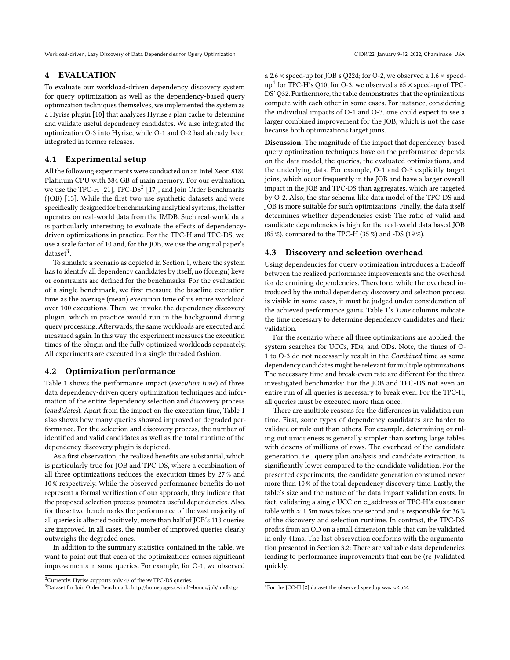Workload-driven, Lazy Discovery of Data Dependencies for Query Optimization CIDR'22, Chaminade, USA CIDR'22, January 9-12, 2022, Chaminade, USA

#### <span id="page-4-0"></span>4 EVALUATION

To evaluate our workload-driven dependency discovery system for query optimization as well as the dependency-based query optimization techniques themselves, we implemented the system as a Hyrise plugin [\[10\]](#page-6-6) that analyzes Hyrise's plan cache to determine and validate useful dependency candidates. We also integrated the optimization O-3 into Hyrise, while O-1 and O-2 had already been integrated in former releases.

#### 4.1 Experimental setup

All the following experiments were conducted on an Intel Xeon 8180 Platinum CPU with 384 GB of main memory. For our evaluation, we use the TPC-H  $[21]$ , TPC-DS $^2$  $^2$   $[17]$ , and Join Order Benchmarks (JOB) [\[13\]](#page-6-17). While the first two use synthetic datasets and were specifically designed for benchmarking analytical systems, the latter operates on real-world data from the IMDB. Such real-world data is particularly interesting to evaluate the effects of dependencydriven optimizations in practice. For the TPC-H and TPC-DS, we use a scale factor of 10 and, for the JOB, we use the original paper's  $dataset<sup>3</sup>$  $dataset<sup>3</sup>$  $dataset<sup>3</sup>$ .

To simulate a scenario as depicted in Section [1,](#page-0-0) where the system has to identify all dependency candidates by itself, no (foreign) keys or constraints are defined for the benchmarks. For the evaluation of a single benchmark, we first measure the baseline execution time as the average (mean) execution time of its entire workload over 100 executions. Then, we invoke the dependency discovery plugin, which in practice would run in the background during query processing. Afterwards, the same workloads are executed and measured again. In this way, the experiment measures the execution times of the plugin and the fully optimized workloads separately. All experiments are executed in a single threaded fashion.

## 4.2 Optimization performance

Table [1](#page-5-6) shows the performance impact (execution time) of three data dependency-driven query optimization techniques and information of the entire dependency selection and discovery process (candidates). Apart from the impact on the execution time, Table [1](#page-5-6) also shows how many queries showed improved or degraded performance. For the selection and discovery process, the number of identified and valid candidates as well as the total runtime of the dependency discovery plugin is depicted.

As a first observation, the realized benefits are substantial, which is particularly true for JOB and TPC-DS, where a combination of all three optimizations reduces the execution times by 27 % and 10 % respectively. While the observed performance benefits do not represent a formal verification of our approach, they indicate that the proposed selection process promotes useful dependencies. Also, for these two benchmarks the performance of the vast majority of all queries is affected positively; more than half of JOB's 113 queries are improved. In all cases, the number of improved queries clearly outweighs the degraded ones.

In addition to the summary statistics contained in the table, we want to point out that each of the optimizations causes significant improvements in some queries. For example, for O-1, we observed a 2.6  $\times$  speed-up for JOB's Q22d; for O-2, we observed a 1.6  $\times$  speed-up<sup>[4](#page-4-4)</sup> for TPC-H's Q10; for O-3, we observed a 65  $\times$  speed-up of TPC-DS' Q32. Furthermore, the table demonstrates that the optimizations compete with each other in some cases. For instance, considering the individual impacts of O-1 and O-3, one could expect to see a larger combined improvement for the JOB, which is not the case because both optimizations target joins.

Discussion. The magnitude of the impact that dependency-based query optimization techniques have on the performance depends on the data model, the queries, the evaluated optimizations, and the underlying data. For example, O-1 and O-3 explicitly target joins, which occur frequently in the JOB and have a larger overall impact in the JOB and TPC-DS than aggregates, which are targeted by O-2. Also, the star schema-like data model of the TPC-DS and JOB is more suitable for such optimizations. Finally, the data itself determines whether dependencies exist: The ratio of valid and candidate dependencies is high for the real-world data based JOB (85 %), compared to the TPC-H (35 %) and -DS (19 %).

#### <span id="page-4-1"></span>4.3 Discovery and selection overhead

Using dependencies for query optimization introduces a tradeoff between the realized performance improvements and the overhead for determining dependencies. Therefore, while the overhead introduced by the initial dependency discovery and selection process is visible in some cases, it must be judged under consideration of the achieved performance gains. Table [1'](#page-5-6)s Time columns indicate the time necessary to determine dependency candidates and their validation.

For the scenario where all three optimizations are applied, the system searches for UCCs, FDs, and ODs. Note, the times of O-1 to O-3 do not necessarily result in the Combined time as some dependency candidates might be relevant for multiple optimizations. The necessary time and break-even rate are different for the three investigated benchmarks: For the JOB and TPC-DS not even an entire run of all queries is necessary to break even. For the TPC-H, all queries must be executed more than once.

There are multiple reasons for the differences in validation runtime. First, some types of dependency candidates are harder to validate or rule out than others. For example, determining or ruling out uniqueness is generally simpler than sorting large tables with dozens of millions of rows. The overhead of the candidate generation, i.e., query plan analysis and candidate extraction, is significantly lower compared to the candidate validation. For the presented experiments, the candidate generation consumed never more than 10 % of the total dependency discovery time. Lastly, the table's size and the nature of the data impact validation costs. In fact, validating a single UCC on c\_address of TPC-H's customer table with  $\approx 1.5$ m rows takes one second and is responsible for 36 % of the discovery and selection runtime. In contrast, the TPC-DS profits from an OD on a small dimension table that can be validated in only 41ms. The last observation conforms with the argumentation presented in Section [3.2:](#page-3-0) There are valuable data dependencies leading to performance improvements that can be (re-)validated quickly.

<span id="page-4-2"></span><sup>2</sup>Currently, Hyrise supports only 47 of the 99 TPC-DS queries.

<span id="page-4-3"></span><sup>3</sup>Dataset for Join Order Benchmark:<http://homepages.cwi.nl/~boncz/job/imdb.tgz>

<span id="page-4-4"></span><sup>&</sup>lt;sup>4</sup>For the JCC-H [\[2\]](#page-5-7) dataset the observed speedup was  $\approx$ 2.5  $\times$ .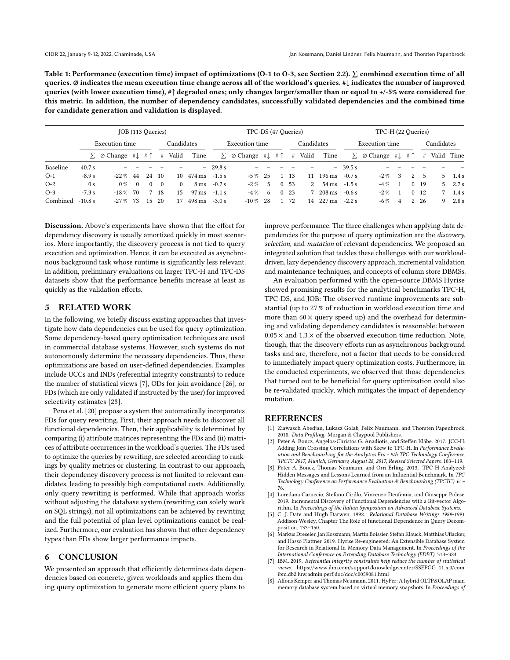<span id="page-5-6"></span>Table 1: Performance (execution time) impact of optimizations (O-1 to O-3, see Section [2.2\)](#page-1-0).  $\Sigma$  combined execution time of all queries. Ø indicates the mean execution time change across all of the workload's queries. #↓ indicates the number of improved queries (with lower execution time), #↑ degraded ones; only changes larger/smaller than or equal to +/-5% were considered for this metric. In addition, the number of dependency candidates, successfully validated dependencies and the combined time for candidate generation and validation is displayed.

|          | JOB (113 Queries) |                                                      |          |  |             |          |                            |                | TPC-DS (47 Queries)                                 | TPC-H (22 Queries) |  |                 |         |                                    |                |                                                                  |                |   |                 |    |       |
|----------|-------------------|------------------------------------------------------|----------|--|-------------|----------|----------------------------|----------------|-----------------------------------------------------|--------------------|--|-----------------|---------|------------------------------------|----------------|------------------------------------------------------------------|----------------|---|-----------------|----|-------|
|          | Execution time    |                                                      |          |  | Candidates  |          |                            | Execution time |                                                     |                    |  | Candidates      |         |                                    | Execution time |                                                                  |                |   | Candidates      |    |       |
|          |                   | $\sum \emptyset$ Change # $\int \# \uparrow$ # Valid |          |  |             |          | <b>Time</b>                |                | $\sum \emptyset$ Change # $\downarrow$ # $\uparrow$ |                    |  |                 | # Valid | Time                               |                | $\sum \emptyset$ Change # $\downarrow$ # $\uparrow$ # Valid Time |                |   |                 |    |       |
| Baseline | 40.7 s            |                                                      |          |  |             |          |                            | $-129.8 s$     |                                                     |                    |  |                 |         |                                    | $-139.5 s$     |                                                                  |                |   |                 |    |       |
| $O-1$    | $-8.9 s$          | $-22\%$ 44                                           |          |  | 24 10       |          | $10 \quad 474 \,\text{ms}$ | $-1.5 s$       | $-5\%$ 25                                           |                    |  | 13              | 11      | $196 \text{ ms}$                   | $-0.7 s$       | $-2\%$                                                           | 3              | 2 |                 |    | 1.4 s |
| $O-2$    | 0 <sub>s</sub>    | $0\%$                                                | $\Omega$ |  | $0 \quad 0$ | $\Omega$ | $8 \text{ ms}$             | $-0.7 s$       | $-2\%$ 5                                            |                    |  | 0, 53           |         | 2 $54 \text{ ms}$ $-1.5 \text{ s}$ |                | $-4\%$                                                           |                |   | 0, 19           | 5. | 2.7s  |
| $O-3$    | $-7.3 s$          | $-18\%$                                              | 70       |  | 7 18        | 15       | $97 \,\mathrm{ms}$         | $-1.1s$        | $-4\%$                                              | - 6                |  | 0 <sub>23</sub> |         | 7 208 ms                           | $-0.6 s$       | $-2\%$                                                           |                |   | 0 <sub>12</sub> |    | 1.4s  |
| Combined | $-10.8 s$         | $-27\%$ 73                                           |          |  | 15 20       | 17       | $498 \,\mathrm{ms}$        | $-3.0 s$       | $-10\%$ 28                                          |                    |  | 72              |         | 14 227 ms                          | $-2.2 s$       | $-6\%$                                                           | $\overline{4}$ | 2 | - 26            | 9  | 2.8 s |

Discussion. Above's experiments have shown that the effort for dependency discovery is usually amortized quickly in most scenarios. More importantly, the discovery process is not tied to query execution and optimization. Hence, it can be executed as asynchronous background task whose runtime is significantly less relevant. In addition, preliminary evaluations on larger TPC-H and TPC-DS datasets show that the performance benefits increase at least as quickly as the validation efforts.

## 5 RELATED WORK

In the following, we briefly discuss existing approaches that investigate how data dependencies can be used for query optimization. Some dependency-based query optimization techniques are used in commercial database systems. However, such systems do not autonomously determine the necessary dependencies. Thus, these optimizations are based on user-defined dependencies. Examples include UCCs and INDs (referential integrity constraints) to reduce the number of statistical views [\[7\]](#page-5-8), ODs for join avoidance [\[26\]](#page-6-4), or FDs (which are only validated if instructed by the user) for improved selectivity estimates [\[28\]](#page-6-18).

Pena et al. [\[20\]](#page-6-19) propose a system that automatically incorporates FDs for query rewriting. First, their approach needs to discover all functional dependencies. Then, their applicability is determined by comparing (i) attribute matrices representing the FDs and (ii) matrices of attribute occurrences in the workload's queries. The FDs used to optimize the queries by rewriting, are selected according to rankings by quality metrics or clustering. In contrast to our approach, their dependency discovery process is not limited to relevant candidates, leading to possibly high computational costs. Additionally, only query rewriting is performed. While that approach works without adjusting the database system (rewriting can solely work on SQL strings), not all optimizations can be achieved by rewriting and the full potential of plan level optimizations cannot be realized. Furthermore, our evaluation has shown that other dependency types than FDs show larger performance impacts.

#### 6 CONCLUSION

We presented an approach that efficiently determines data dependencies based on concrete, given workloads and applies them during query optimization to generate more efficient query plans to

improve performance. The three challenges when applying data dependencies for the purpose of query optimization are the discovery, selection, and mutation of relevant dependencies. We proposed an integrated solution that tackles these challenges with our workloaddriven, lazy dependency discovery approach, incremental validation and maintenance techniques, and concepts of column store DBMSs.

An evaluation performed with the open-source DBMS Hyrise showed promising results for the analytical benchmarks TPC-H, TPC-DS, and JOB: The observed runtime improvements are substantial (up to 27 % of reduction in workload execution time and more than  $60 \times$  query speed up) and the overhead for determining and validating dependency candidates is reasonable: between  $0.05 \times$  and  $1.3 \times$  of the observed execution time reduction. Note, though, that the discovery efforts run as asynchronous background tasks and are, therefore, not a factor that needs to be considered to immediately impact query optimization costs. Furthermore, in the conducted experiments, we observed that those dependencies that turned out to be beneficial for query optimization could also be re-validated quickly, which mitigates the impact of dependency mutation.

#### REFERENCES

- <span id="page-5-0"></span>[1] Ziawasch Abedjan, Lukasz Golab, Felix Naumann, and Thorsten Papenbrock. 2018. Data Profiling. Morgan & Claypool Publishers.
- <span id="page-5-7"></span>[2] Peter A. Boncz, Angelos-Christos G. Anadiotis, and Steffen Kläbe. 2017. JCC-H: Adding Join Crossing Correlations with Skew to TPC-H. In Performance Evaluation and Benchmarking for the Analytics Era - 9th TPC Technology Conference, TPCTC 2017, Munich, Germany, August 28, 2017, Revised Selected Papers. 103–119.
- <span id="page-5-2"></span>[3] Peter A. Boncz, Thomas Neumann, and Orri Erling. 2013. TPC-H Analyzed: Hidden Messages and Lessons Learned from an Influential Benchmark. In TPC Technology Conference on Performance Evaluation & Benchmarking (TPCTC). 61– 76. [4] Loredana Caruccio, Stefano Cirillo, Vincenzo Deufemia, and Giuseppe Polese.
- <span id="page-5-4"></span>2019. Incremental Discovery of Functional Dependencies with a Bit-vector Algorithm. In Proceedings of the Italian Symposium on Advanced Database Systems.
- <span id="page-5-3"></span>[5] C. J. Date and Hugh Darwen. 1992. Relational Database Writings 1989-1991. Addison-Wesley, Chapter The Role of functional Dependence in Query Decomposition, 133–150.
- <span id="page-5-1"></span>[6] Markus Dreseler, Jan Kossmann, Martin Boissier, Stefan Klauck, Matthias Uflacker, and Hasso Plattner. 2019. Hyrise Re-engineered: An Extensible Database System for Research in Relational In-Memory Data Management. In Proceedings of the International Conference on Extending Database Technology (EDBT). 313–324.
- <span id="page-5-8"></span>[7] IBM. 2019. Referential integrity constraints help reduce the number of statistical views. [https://www.ibm.com/support/knowledgecenter/SSEPGG\\_11.5.0/com.](https://www.ibm.com/support/knowledgecenter/SSEPGG_11.5.0/com.ibm.db2.luw.admin.perf.doc/doc/c0059081.html) [ibm.db2.luw.admin.perf.doc/doc/c0059081.html](https://www.ibm.com/support/knowledgecenter/SSEPGG_11.5.0/com.ibm.db2.luw.admin.perf.doc/doc/c0059081.html)
- <span id="page-5-5"></span>[8] Alfons Kemper and Thomas Neumann. 2011. HyPer: A hybrid OLTP&OLAP main memory database system based on virtual memory snapshots. In Proceedings of